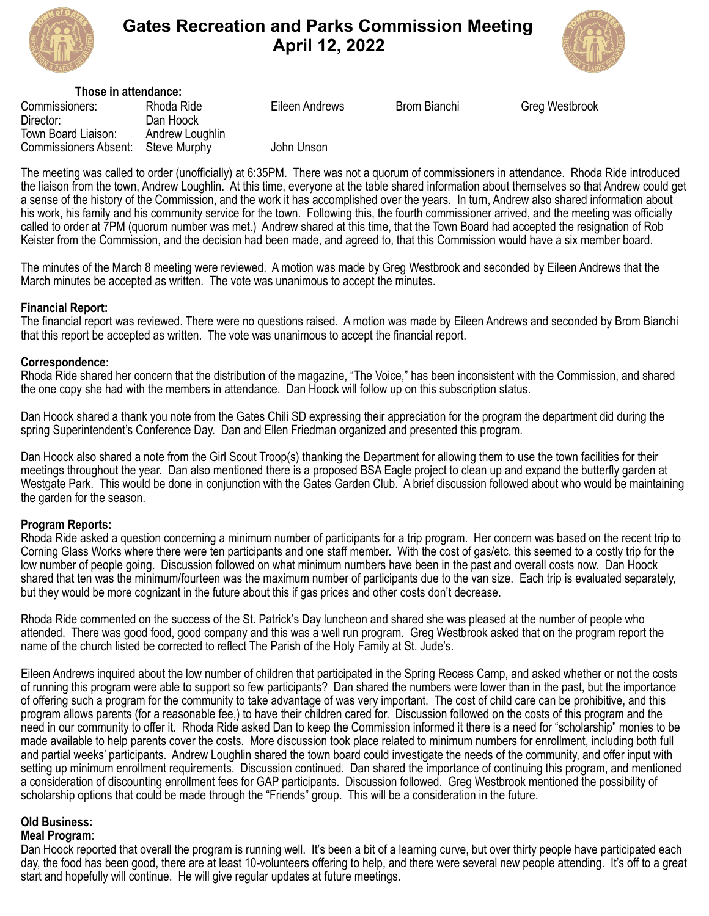

# **Gates Recreation and Parks Commission Meeting April 12, 2022**



| Those in attendance:                                |                                 |                |              |                       |
|-----------------------------------------------------|---------------------------------|----------------|--------------|-----------------------|
| Commissioners:<br>Director:                         | Rhoda Ride<br>Dan Hoock         | Eileen Andrews | Brom Bianchi | <b>Greg Westbrook</b> |
| Town Board Liaison:<br><b>Commissioners Absent:</b> | Andrew Loughlin<br>Steve Murphy | John Unson     |              |                       |

The meeting was called to order (unofficially) at 6:35PM. There was not a quorum of commissioners in attendance. Rhoda Ride introduced the liaison from the town, Andrew Loughlin. At this time, everyone at the table shared information about themselves so that Andrew could get a sense of the history of the Commission, and the work it has accomplished over the years. In turn, Andrew also shared information about his work, his family and his community service for the town. Following this, the fourth commissioner arrived, and the meeting was officially called to order at 7PM (quorum number was met.) Andrew shared at this time, that the Town Board had accepted the resignation of Rob Keister from the Commission, and the decision had been made, and agreed to, that this Commission would have a six member board.

The minutes of the March 8 meeting were reviewed. A motion was made by Greg Westbrook and seconded by Eileen Andrews that the March minutes be accepted as written. The vote was unanimous to accept the minutes.

## **Financial Report:**

The financial report was reviewed. There were no questions raised. A motion was made by Eileen Andrews and seconded by Brom Bianchi that this report be accepted as written. The vote was unanimous to accept the financial report.

#### **Correspondence:**

Rhoda Ride shared her concern that the distribution of the magazine, "The Voice," has been inconsistent with the Commission, and shared the one copy she had with the members in attendance. Dan Hoock will follow up on this subscription status.

Dan Hoock shared a thank you note from the Gates Chili SD expressing their appreciation for the program the department did during the spring Superintendent's Conference Day. Dan and Ellen Friedman organized and presented this program.

Dan Hoock also shared a note from the Girl Scout Troop(s) thanking the Department for allowing them to use the town facilities for their meetings throughout the year. Dan also mentioned there is a proposed BSA Eagle project to clean up and expand the butterfly garden at Westgate Park. This would be done in conjunction with the Gates Garden Club. A brief discussion followed about who would be maintaining the garden for the season.

#### **Program Reports:**

Rhoda Ride asked a question concerning a minimum number of participants for a trip program. Her concern was based on the recent trip to Corning Glass Works where there were ten participants and one staff member. With the cost of gas/etc. this seemed to a costly trip for the low number of people going. Discussion followed on what minimum numbers have been in the past and overall costs now. Dan Hoock shared that ten was the minimum/fourteen was the maximum number of participants due to the van size. Each trip is evaluated separately, but they would be more cognizant in the future about this if gas prices and other costs don't decrease.

Rhoda Ride commented on the success of the St. Patrick's Day luncheon and shared she was pleased at the number of people who attended. There was good food, good company and this was a well run program. Greg Westbrook asked that on the program report the name of the church listed be corrected to reflect The Parish of the Holy Family at St. Jude's.

Eileen Andrews inquired about the low number of children that participated in the Spring Recess Camp, and asked whether or not the costs of running this program were able to support so few participants? Dan shared the numbers were lower than in the past, but the importance of offering such a program for the community to take advantage of was very important. The cost of child care can be prohibitive, and this program allows parents (for a reasonable fee,) to have their children cared for. Discussion followed on the costs of this program and the need in our community to offer it. Rhoda Ride asked Dan to keep the Commission informed it there is a need for "scholarship" monies to be made available to help parents cover the costs. More discussion took place related to minimum numbers for enrollment, including both full and partial weeks' participants. Andrew Loughlin shared the town board could investigate the needs of the community, and offer input with setting up minimum enrollment requirements. Discussion continued. Dan shared the importance of continuing this program, and mentioned a consideration of discounting enrollment fees for GAP participants. Discussion followed. Greg Westbrook mentioned the possibility of scholarship options that could be made through the "Friends" group. This will be a consideration in the future.

# **Old Business:**

#### **Meal Program**:

Dan Hoock reported that overall the program is running well. It's been a bit of a learning curve, but over thirty people have participated each day, the food has been good, there are at least 10-volunteers offering to help, and there were several new people attending. It's off to a great start and hopefully will continue. He will give regular updates at future meetings.